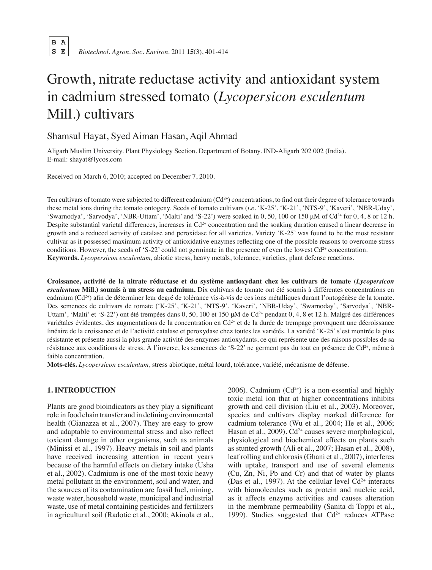B A<br>S E  **S E** *Biotechnol. Agron. Soc. Environ.* 2011 **15**(3), 401-414

# Growth, nitrate reductase activity and antioxidant system in cadmium stressed tomato (*Lycopersicon esculentum* Mill.) cultivars

## Shamsul Hayat, Syed Aiman Hasan, Aqil Ahmad

Aligarh Muslim University. Plant Physiology Section. Department of Botany. IND-Aligarh 202 002 (India). E-mail: shayat@lycos.com

Received on March 6, 2010; accepted on December 7, 2010.

Ten cultivars of tomato were subjected to different cadmium  $(Cd<sup>2+</sup>)$  concentrations, to find out their degree of tolerance towards these metal ions during the tomato ontogeny. Seeds of tomato cultivars (*i.e.* 'K-25', 'K-21', 'NTS-9', 'Kaveri', 'NBR-Uday', 'Swarnodya', 'Sarvodya', 'NBR-Uttam', 'Malti' and 'S-22') were soaked in 0,50, 100 or 150  $\mu$ M of Cd<sup>2+</sup> for 0, 4, 8 or 12 h. Despite substantial varietal differences, increases in  $Cd^{2+}$  concentration and the soaking duration caused a linear decrease in growth and a reduced activity of catalase and peroxidase for all varieties. Variety 'K-25' was found to be the most resistant cultivar as it possessed maximum activity of antioxidative enzymes reflecting one of the possible reasons to overcome stress conditions. However, the seeds of 'S-22' could not germinate in the presence of even the lowest  $Cd^{2+}$  concentration. **Keywords.** *Lycopersicon esculentum*, abiotic stress, heavy metals, tolerance, varieties, plant defense reactions.

**Croissance, activité de la nitrate réductase et du système antioxydant chez les cultivars de tomate (***Lycopersicon esculentum* **Mill.) soumis à un stress au cadmium.** Dix cultivars de tomate ont été soumis à différentes concentrations en cadmium  $(Cd^{2+})$  afin de déterminer leur degré de tolérance vis-à-vis de ces ions métalliques durant l'ontogénèse de la tomate. Des semences de cultivars de tomate ('K-25', 'K-21', 'NTS-9', 'Kaveri', 'NBR-Uday', 'Swarnoday', 'Sarvodya', 'NBR-Uttam', 'Malti' et 'S-22') ont été trempées dans 0, 50, 100 et 150 μM de Cd<sup>2+</sup> pendant 0, 4, 8 et 12 h. Malgré des différences variétales évidentes, des augmentations de la concentration en  $Cd^{2+}$  et de la durée de trempage provoquent une décroissance linéaire de la croissance et de l'activité catalase et peroxydase chez toutes les variétés. La variété 'K-25's'est montrée la plus résistante et présente aussi la plus grande activité des enzymes antioxydants, ce qui représente une des raisons possibles de sa résistance aux conditions de stress. À l'inverse, les semences de 'S-22' ne germent pas du tout en présence de Cd<sup>2+</sup>, même à faible concentration.

**Mots-clés.** *Lycopersicon esculentum*, stress abiotique, métal lourd, tolérance, variété, mécanisme de défense.

## **1. Introduction**

Plants are good bioindicators as they play a significant role in food chain transfer and in defining environmental health (Gianazza et al., 2007). They are easy to grow and adaptable to environmental stress and also reflect toxicant damage in other organisms, such as animals (Minissi et al., 1997). Heavy metals in soil and plants have received increasing attention in recent years because of the harmful effects on dietary intake (Usha et al., 2002). Cadmium is one of the most toxic heavy metal pollutant in the environment, soil and water, and the sources of its contamination are fossil fuel, mining, waste water, household waste, municipal and industrial waste, use of metal containing pesticides and fertilizers in agricultural soil (Radotic et al., 2000; Akinola et al.,  $2006$ ). Cadmium (Cd<sup>2+</sup>) is a non-essential and highly toxic metal ion that at higher concentrations inhibits growth and cell division (Liu et al., 2003). Moreover, species and cultivars display marked difference for cadmium tolerance (Wu et al., 2004; He et al., 2006; Hasan et al., 2009).  $Cd^{2+}$  causes severe morphological, physiological and biochemical effects on plants such as stunted growth (Ali et al., 2007; Hasan et al., 2008), leaf rolling and chlorosis(Ghani et al., 2007), interferes with uptake, transport and use of several elements (Cu, Zn, Ni, Pb and Cr) and that of water by plants (Das et al., 1997). At the cellular level  $Cd^{2+}$  interacts with biomolecules such as protein and nucleic acid, as it affects enzyme activities and causes alteration in the membrane permeability (Sanita di Toppi et al., 1999). Studies suggested that  $Cd^{2+}$  reduces ATPase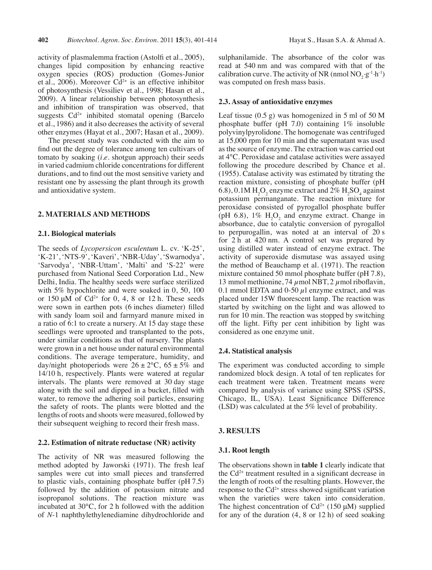activity of plasmalemma fraction (Astolfi et al., 2005), changes lipid composition by enhancing reactive oxygen species (ROS) production (Gomes-Junior et al., 2006). Moreover  $C\hat{d}^{2+}$  is an effective inhibitor of photosynthesis (Vessiliev et al., 1998; Hasan et al., 2009). A linear relationship between photosynthesis and inhibition of transpiration was observed, that suggests  $Cd^{2+}$  inhibited stomatal opening (Barcelo et al., 1986) and it also decreases the activity of several other enzymes (Hayat et al., 2007; Hasan et al., 2009).

The present study was conducted with the aim to find out the degree of tolerance among ten cultivars of tomato by soaking (*i.e.* shotgun approach) their seeds in varied cadmium chloride concentrations for different durations, and to find out the most sensitive variety and resistant one by assessing the plant through its growth and antioxidative system.

## **2. Materials and methods**

## **2.1. Biological materials**

The seeds of *Lycopersicon esculentum* L. cv. 'K-25', 'K-21', 'NTS-9', 'Kaveri', 'NBR-Uday', 'Swarnodya', 'Sarvodya', 'NBR-Uttam', 'Malti' and 'S-22' were purchased from National Seed Corporation Ltd., New Delhi, India. The healthy seeds were surface sterilized with 5% hypochlorite and were soaked in 0, 50, 100 or 150  $\mu$ M of Cd<sup>2+</sup> for 0, 4, 8 or 12 h. These seeds were sown in earthen pots (6 inches diameter) filled with sandy loam soil and farmyard manure mixed in a ratio of 6:1 to create a nursery. At 15 day stage these seedlings were uprooted and transplanted to the pots, under similar conditions as that of nursery. The plants were grown in a net house under natural environmental conditions. The average temperature, humidity, and day/night photoperiods were  $26 \pm 2^{\circ}$ C,  $65 \pm 5\%$  and 14/10 h, respectively. Plants were watered at regular intervals. The plants were removed at 30 day stage along with the soil and dipped in a bucket, filled with water, to remove the adhering soil particles, ensuring the safety of roots. The plants were blotted and the lengths of roots and shoots were measured, followed by their subsequent weighing to record their fresh mass.

#### **2.2. Estimation of nitrate reductase (NR) activity**

The activity of NR was measured following the method adopted by Jaworski (1971). The fresh leaf samples were cut into small pieces and transferred to plastic vials, containing phosphate buffer (pH 7.5) followed by the addition of potassium nitrate and isopropanol solutions. The reaction mixture was incubated at 30°C, for 2 h followed with the addition of *N*-1 naphthylethylenediamine dihydrochloride and

sulphanilamide. The absorbance of the color was read at 540 nm and was compared with that of the calibration curve. The activity of NR (nmol  $NO_2 \cdot g^{-1} \cdot h^{-1}$ ) was computed on fresh mass basis.

#### **2.3. Assay of antioxidative enzymes**

Leaf tissue  $(0.5 \text{ g})$  was homogenized in 5 ml of 50 M phosphate buffer (pH 7.0) containing 1% insoluble polyvinylpyrolidone. The homogenate was centrifuged at 15,000 rpm for 10 min and the supernatant was used as the source of enzyme. The extraction was carried out at 4°C. Peroxidase and catalase activities were assayed following the procedure described by Chance et al. (1955). Catalase activity was estimated by titrating the reaction mixture, consisting of phosphate buffer (pH 6.8), 0.1M  $H_2O_2$  enzyme extract and 2%  $H_2SO_4$  against potassium permanganate. The reaction mixture for peroxidase consisted of pyrogallol phosphate buffer (pH 6.8),  $1\%$   $H_2O_2$  and enzyme extract. Change in absorbance, due to catalytic conversion of pyrogallol to perpurogallin, was noted at an interval of 20 s for 2 h at 420 nm. A control set was prepared by using distilled water instead of enzyme extract. The activity of superoxide dismutase was assayed using the method of Beauchamp et al. (1971). The reaction mixture contained 50 mmol phosphate buffer (pH 7.8), 13 mmol methionine, 74  $\mu$ mol NBT, 2  $\mu$ mol riboflavin, 0.1 mmol EDTA and 0-50  $\mu$ l enzyme extract, and was placed under 15W fluorescent lamp. The reaction was started by switching on the light and was allowed to run for 10 min. The reaction was stopped by switching off the light. Fifty per cent inhibition by light was considered as one enzyme unit.

## **2.4. Statistical analysis**

The experiment was conducted according to simple randomized block design. A total of ten replicates for each treatment were taken. Treatment means were compared by analysis of variance using SPSS (SPSS, Chicago, IL, USA). Least Significance Difference (LSD) was calculated at the 5% level of probability.

#### **3. Results**

#### **3.1. Root length**

The observations shown in **table 1** clearly indicate that the  $Cd^{2+}$  treatment resulted in a significant decrease in the length of roots of the resulting plants. However, the response to the  $Cd^{2+}$  stress showed significant variation when the varieties were taken into consideration. The highest concentration of  $Cd^{2+}$  (150 μM) supplied for any of the duration (4, 8 or 12 h) of seed soaking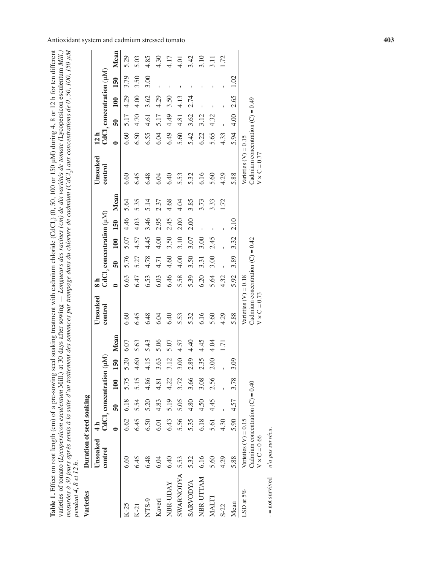| mesurées à 30 jours après semis à la suite d'un traitement des semences par trempage dans du chlorure de cadmium (CdCl <sub>2</sub> ) aux concentrations de 0, 50, 100, 150 µM<br>varieties of tomato (Lycopersicon esculentum Mill.) at 30 days after sowing $-$ Longueurs des racines (cm) de dix variétés de tomate (Lycopersicon esculentum Mill.)<br>Table 1. Effect on root length (cm) of a pre-sowing seed<br>pendant 4, 8 et 12 h.<br>Varieties | Duration of seed soaking                                                            |      |                 |                                                     |               |      |                                                                                     |           |                          |      |      |      | soaking treatment with cadmium chloride (CdCl <sub>2</sub> ) (0, 50, 100 or 150 µM) during 4, 8 or 12 h for ten different |           |                          |      |      |                  |
|----------------------------------------------------------------------------------------------------------------------------------------------------------------------------------------------------------------------------------------------------------------------------------------------------------------------------------------------------------------------------------------------------------------------------------------------------------|-------------------------------------------------------------------------------------|------|-----------------|-----------------------------------------------------|---------------|------|-------------------------------------------------------------------------------------|-----------|--------------------------|------|------|------|---------------------------------------------------------------------------------------------------------------------------|-----------|--------------------------|------|------|------------------|
|                                                                                                                                                                                                                                                                                                                                                                                                                                                          | Unsoaked<br>control                                                                 |      |                 | $\mathrm{CdCl}_2$ concentration ( $\mu\mathrm{M}$ ) |               |      | Unsoaked<br>control                                                                 |           | CdCl, concentration (µM) |      |      |      | Unsoaked<br>control                                                                                                       | 12 h      | CdCl, concentration (µM) |      |      |                  |
|                                                                                                                                                                                                                                                                                                                                                                                                                                                          |                                                                                     |      | $\overline{50}$ | 100                                                 | 150           | Mean |                                                                                     | $\bullet$ | $\overline{50}$          | 100  | 150  | Mean |                                                                                                                           | $\bullet$ | នី                       | 100  | 150  | Mean             |
| $K-25$                                                                                                                                                                                                                                                                                                                                                                                                                                                   | 6.60                                                                                | 6.62 | 6.18            | 5.75                                                | 5.20          | 6.07 | 6.60                                                                                | 6.63      | 5.76                     | 5.07 | 4.46 | 5.64 | 6.60                                                                                                                      | 6.60      | 5.17                     | 4.29 | 3.79 | 5.29             |
| $K-21$                                                                                                                                                                                                                                                                                                                                                                                                                                                   | 6.45                                                                                | 6.45 | 5.54            | 5.15                                                | 4.60          | 5.63 | 6.45                                                                                | 6.47      | 5.27                     | 4.57 | 4.03 | 5.35 | 6.45                                                                                                                      | 6.50      | 4.70                     | 4.00 | 3.50 | 5.03             |
| NTS-9                                                                                                                                                                                                                                                                                                                                                                                                                                                    | 6.48                                                                                | 6.50 | 5.20            | 4.86                                                | 4.15          | 5.43 | 6.48                                                                                | 6.53      | 4.78                     | 4.45 | 3.46 | 5.14 | 6.48                                                                                                                      | 6.55      | 4.61                     | 3.62 | 3.00 | 4.85             |
| Kaveri                                                                                                                                                                                                                                                                                                                                                                                                                                                   | 6.04                                                                                | 6.01 | 4.83            | 4.81                                                | 3.63          | 5.06 | 6.04                                                                                | 6.03      | 4.71                     | 4.00 | 2.95 | 2.37 | 6.04                                                                                                                      | 6.04      | 5.17                     | 4.29 |      | 4.30             |
| NBR-UDAY                                                                                                                                                                                                                                                                                                                                                                                                                                                 | 6.40                                                                                | 6.43 | 5.19            | 4.22                                                | 3.12          | 5.07 | 6.40                                                                                | 6.46      | 4.60                     | 3.50 | 2.45 | 4.68 | 6.40                                                                                                                      | 6.49      | 4.49                     | 3.50 |      | 4.17             |
| <b>SWARNODYA</b>                                                                                                                                                                                                                                                                                                                                                                                                                                         | 5.53                                                                                | 5.56 | 5.05            | 3.72                                                | 3.00          | 4.57 | 5.53                                                                                | 5.58      | 4.00                     | 3.10 | 2.00 | 4.04 | 5.53                                                                                                                      | 5.60      | 4.81                     | 4.13 |      | 4.01             |
| <b>ARVODYA</b>                                                                                                                                                                                                                                                                                                                                                                                                                                           | 5.32                                                                                | 5.35 | 4.80            | 3.66                                                | 2.89          | 4.40 | 5.32                                                                                | 5.39      | 3.50                     | 3.07 | 2.00 | 3.85 | 5.32                                                                                                                      | 5.42      | 3.62                     | 2.74 |      | 3.42             |
| NBR-UTTAM                                                                                                                                                                                                                                                                                                                                                                                                                                                | 6.16                                                                                | 6.18 | 4.50            | 3.08                                                | 2.35          | 4.45 | 6.16                                                                                | 6.20      | 3.31                     | 3.00 |      | 3.73 | 6.16                                                                                                                      | 6.22      | 3.12                     |      |      | 3.10             |
| MALTI                                                                                                                                                                                                                                                                                                                                                                                                                                                    | 5.60                                                                                | 5.61 | 4.45            | 2.56                                                | $\frac{5}{2}$ | 4.04 | 5.60                                                                                | 5.64      | 3.00                     | 2.45 |      | 3.33 | 5.60                                                                                                                      | 5.65      | 4.32                     |      |      | $\overline{3}$ . |
| $S - 22$                                                                                                                                                                                                                                                                                                                                                                                                                                                 | 4.29                                                                                | 4.30 |                 |                                                     |               | 1.71 | 4.29                                                                                | 4.32      |                          |      |      | 1.72 | 4.29                                                                                                                      | 4.33      |                          |      |      | 1.72             |
| Mean                                                                                                                                                                                                                                                                                                                                                                                                                                                     | 5.88                                                                                | 5.90 | 4.57            | 3.78                                                | 3.09          |      | 5.88                                                                                | 5.92      | 3.89                     | 3.32 | 2.10 |      | 5.88                                                                                                                      | 5.94      | 4.00                     | 2.65 | 1.02 |                  |
| $LSD$ at 5%                                                                                                                                                                                                                                                                                                                                                                                                                                              | Cadmium concentration $(C) = 0.40$<br>Varieties $(V) = 0.15$<br>$V \times C = 0.66$ |      |                 |                                                     |               |      | Cadmium concentration $(C) = 0.42$<br>Varieties $(V) = 0.18$<br>$V \times C = 0.73$ |           |                          |      |      |      | Cadmium concentration $(C) = 0.49$<br>Varieties $(V) = 0.15$<br>$V \times C = 0.77$                                       |           |                          |      |      |                  |
| $-$ = not survived $- n' a$ pas survécu.                                                                                                                                                                                                                                                                                                                                                                                                                 |                                                                                     |      |                 |                                                     |               |      |                                                                                     |           |                          |      |      |      |                                                                                                                           |           |                          |      |      |                  |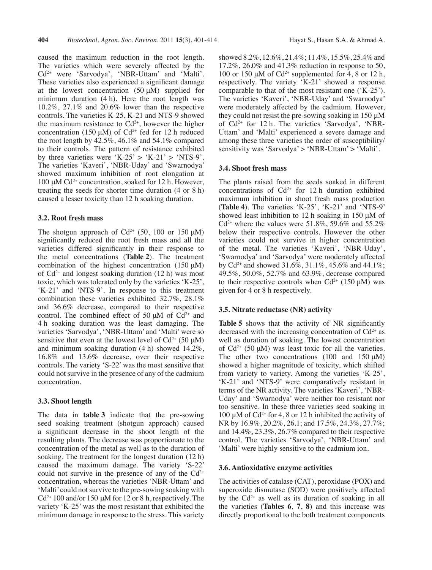caused the maximum reduction in the root length. The varieties which were severely affected by the Cd2+ were 'Sarvodya', 'NBR-Uttam' and 'Malti'. These varieties also experienced a significant damage at the lowest concentration  $(50 \mu M)$  supplied for minimum duration (4 h). Here the root length was 10.2%, 27.1% and 20.6% lower than the respective controls. The varieties K-25, K-21 and NTS-9 showed the maximum resistance to  $Cd^{2+}$ , however the higher concentration (150 μM) of  $Cd^{2+}$  fed for 12 h reduced the root length by 42.5%, 46.1% and 54.1% compared to their controls. The pattern of resistance exhibited by three varieties were 'K-25' > 'K-21' > 'NTS-9'. The varieties 'Kaveri', 'NBR-Uday' and 'Swarnodya' showed maximum inhibition of root elongation at 100 μM Cd<sup>2+</sup> concentration, soaked for 12 h. However, treating the seeds for shorter time duration (4 or 8 h) caused a lesser toxicity than 12 h soaking duration.

#### **3.2. Root fresh mass**

The shotgun approach of  $Cd^{2+}$  (50, 100 or 150  $\mu$ M) significantly reduced the root fresh mass and all the varieties differed significantly in their response to the metal concentrations (**Table 2**). The treatment combination of the highest concentration  $(150 \mu M)$ of  $Cd^{2+}$  and longest soaking duration (12 h) was most toxic, which was tolerated only by the varieties 'K-25', 'K-21' and 'NTS-9'. In response to this treatment combination these varieties exhibited 32.7%, 28.1% and 36.6% decrease, compared to their respective control. The combined effect of 50  $\mu$ M of Cd<sup>2+</sup> and 4 h soaking duration was the least damaging. The varieties 'Sarvodya', 'NBR-Uttam' and 'Malti'were so sensitive that even at the lowest level of  $Cd^{2+}$  (50  $\mu$ M) and minimum soaking duration (4 h) showed 14.2%, 16.8% and 13.6% decrease, over their respective controls. The variety 'S-22' was the most sensitive that could not survive in the presence of any of the cadmium concentration.

#### **3.3. Shoot length**

The data in **table 3** indicate that the pre-sowing seed soaking treatment (shotgun approach) caused a significant decrease in the shoot length of the resulting plants. The decrease was proportionate to the concentration of the metal as well as to the duration of soaking. The treatment for the longest duration (12 h) caused the maximum damage. The variety 'S-22' could not survive in the presence of any of the  $Cd^{2+}$ concentration, whereas the varieties 'NBR-Uttam' and 'Malti' could not survive to the pre-sowing soaking with  $Cd^{2+}$  100 and/or 150 µM for 12 or 8 h, respectively. The variety 'K-25' was the most resistant that exhibited the minimum damage in response to the stress. This variety

showed 8.2%, 12.6%, 21.4%; 11.4%, 15.5%, 25.4% and 17.2%, 26.0% and 41.3% reduction in response to 50, 100 or 150 μM of  $Cd^{2+}$  supplemented for 4, 8 or 12 h, respectively. The variety 'K-21' showed a response comparable to that of the most resistant one ('K-25'). The varieties 'Kaveri', 'NBR-Uday' and 'Swarnodya' were moderately affected by the cadmium. However, they could not resist the pre-sowing soaking in 150 μM of  $Cd^{2+}$  for 12 h. The varieties 'Sarvodya', 'NBR-Uttam' and 'Malti' experienced a severe damage and among these three varieties the order of susceptibility/ sensitivity was 'Sarvodya' > 'NBR-Uttam' > 'Malti'.

#### **3.4. Shoot fresh mass**

The plants raised from the seeds soaked in different concentrations of  $Cd^{2+}$  for 12 h duration exhibited maximum inhibition in shoot fresh mass production (**Table 4**). The varieties 'K-25', 'K-21' and 'NTS-9' showed least inhibition to 12 h soaking in 150 μM of  $Cd^{2+}$  where the values were 51.8%, 59.6% and 55.2% below their respective controls. However the other varieties could not survive in higher concentration of the metal. The varieties 'Kaveri', 'NBR-Uday', 'Swarnodya' and 'Sarvodya' were moderately affected by Cd<sup>2+</sup> and showed 31.6%, 31.1%, 45.6% and 44.1%; 49.5%, 50.0%, 52.7% and 63.9%, decrease compared to their respective controls when  $Cd^{2+}$  (150  $\mu$ M) was given for 4 or 8 h respectively.

### **3.5. Nitrate reductase (NR) activity**

**Table 5** shows that the activity of NR significantly decreased with the increasing concentration of  $Cd^{2+}$  as well as duration of soaking. The lowest concentration of  $Cd^{2+}$  (50  $\mu$ M) was least toxic for all the varieties. The other two concentrations (100 and 150 μM) showed a higher magnitude of toxicity, which shifted from variety to variety. Among the varieties 'K-25', 'K-21' and 'NTS-9' were comparatively resistant in terms of the NR activity. The varieties 'Kaveri', 'NBR-Uday' and 'Swarnodya' were neither too resistant nor too sensitive. In these three varieties seed soaking in 100 μM of Cd<sup>2+</sup> for 4, 8 or 12 h inhibited the activity of NR by 16.9%, 20.2%, 26.1; and 17.5%, 24.3%, 27.7%; and 14.4%, 23.3%, 26.7% compared to their respective control. The varieties 'Sarvodya', 'NBR-Uttam' and 'Malti' were highly sensitive to the cadmium ion.

#### **3.6. Antioxidative enzyme activities**

The activities of catalase (CAT), peroxidase (POX) and superoxide dismutase (SOD) were positively affected by the  $Cd^{2+}$  as well as its duration of soaking in all the varieties (**Tables 6**, **7**, **8**) and this increase was directly proportional to the both treatment components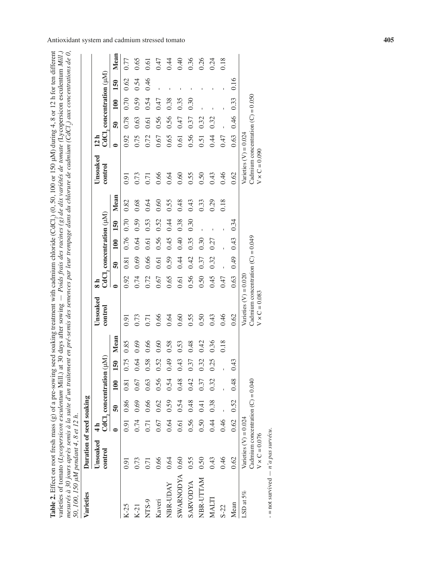| eed soaking treatment with cadmium chloride (CdCl,) (0, 50, 100 or 150 µM) during 4, 8 or 12 h for ten different | t 30 days after sowing $-$ Poids frais des racines (g) de dix variétés de tomate (Lycopersicon esculentum Mill | mesurés à 30 jours après semis à la suite d'un traitement en pré-semis des semences par leur trempage dans du chlorure de cadmium (CdCl.), aux concentrations de 0. |                                       |
|------------------------------------------------------------------------------------------------------------------|----------------------------------------------------------------------------------------------------------------|---------------------------------------------------------------------------------------------------------------------------------------------------------------------|---------------------------------------|
|                                                                                                                  |                                                                                                                |                                                                                                                                                                     |                                       |
|                                                                                                                  |                                                                                                                |                                                                                                                                                                     |                                       |
|                                                                                                                  |                                                                                                                |                                                                                                                                                                     |                                       |
|                                                                                                                  |                                                                                                                |                                                                                                                                                                     |                                       |
|                                                                                                                  |                                                                                                                |                                                                                                                                                                     |                                       |
|                                                                                                                  |                                                                                                                |                                                                                                                                                                     |                                       |
|                                                                                                                  |                                                                                                                |                                                                                                                                                                     |                                       |
|                                                                                                                  |                                                                                                                |                                                                                                                                                                     |                                       |
|                                                                                                                  |                                                                                                                |                                                                                                                                                                     |                                       |
|                                                                                                                  |                                                                                                                |                                                                                                                                                                     |                                       |
|                                                                                                                  |                                                                                                                |                                                                                                                                                                     |                                       |
|                                                                                                                  |                                                                                                                |                                                                                                                                                                     |                                       |
| <b>Table 2.</b> Effect on root fresh mass $(g)$ of a pre-sowing set                                              | varieties of tomato (Lycopersicon esculentum Mill.) at                                                         |                                                                                                                                                                     | 50. 100. 150 uM pendant 4. 8 et 12 h. |
|                                                                                                                  |                                                                                                                |                                                                                                                                                                     |                                       |

| 50, 100, 150 µM pendant 4, 8 et 12 h.<br>Varieties | Duration of seed soaking                                                               |               |      |                          |                          |      |                                                                                        |               |                                                     |      |      |      |                                                                                        |                 |                 |      |                          |                  |
|----------------------------------------------------|----------------------------------------------------------------------------------------|---------------|------|--------------------------|--------------------------|------|----------------------------------------------------------------------------------------|---------------|-----------------------------------------------------|------|------|------|----------------------------------------------------------------------------------------|-----------------|-----------------|------|--------------------------|------------------|
|                                                    | Unsoaked                                                                               | $\frac{1}{4}$ |      |                          |                          |      | Unsoaked                                                                               | $\frac{1}{8}$ |                                                     |      |      |      | Unsoaked                                                                               | 12 <sub>h</sub> |                 |      |                          |                  |
|                                                    | control                                                                                |               |      | CdCl, concentration (µM) |                          |      | control                                                                                |               | $\mathrm{CdCl}_2$ concentration ( $\mu\mathrm{M}$ ) |      |      |      | control                                                                                |                 |                 |      | CdCl, concentration (µM) |                  |
|                                                    |                                                                                        | $\bullet$     | នី   | 100                      | 150                      | Mean |                                                                                        | $\bullet$     | $\overline{50}$                                     | 100  | 150  | Mean |                                                                                        | $\bullet$       | $\overline{50}$ | 100  | 150                      | Mean             |
| $K-25$                                             | 0.91                                                                                   | 0.91          | 0.86 | 0.81                     | 0.75                     | 0.85 | 0.91                                                                                   | 0.92          | 0.81                                                | 0.76 | 0.70 | 0.82 | 0.91                                                                                   | 0.92            | 0.78            | 0.70 | 0.62                     | 0.77             |
| $K-21$                                             | 0.73                                                                                   | 0.74          | 0.69 | 0.67                     | 0.64                     | 0.69 | 0.73                                                                                   | 0.74          | 0.69                                                | 0.64 | 0.59 | 0.68 | 0.73                                                                                   | 0.75            | 0.63            | 0.59 | 0.54                     | 0.65             |
| NTS-9                                              | $\overline{0.71}$                                                                      | 0.71          | 0.66 | 0.63                     | 0.58                     | 0.66 | 0.71                                                                                   | 0.72          | 0.66                                                | 0.61 | 0.53 | 0.64 | 0.71                                                                                   | 0.72            | 0.61            | 0.54 | 0.46                     | $\overline{0.6}$ |
| Kaveri                                             | 0.66                                                                                   | 0.67          | 0.62 | 0.56                     | 0.52                     | 0.60 | 0.66                                                                                   | 0.67          | 0.61                                                | 0.56 | 0.52 | 0.60 | 0.66                                                                                   | 0.67            | 0.56            | 0.47 |                          | 0.47             |
| NBR-UDAY                                           | 0.64                                                                                   | 0.64          | 0.59 | 0.54                     | 64.0                     | 0.58 | 0.64                                                                                   | 0.65          | 0.59                                                | 0.45 | 0.44 | 0.55 | 0.64                                                                                   | 0.65            | 0.56            | 0.38 |                          | 0.44             |
| <b>SWARNODYA</b>                                   | 0.60                                                                                   | 0.61          | 0.54 | 0.48                     | 0.43                     | 0.53 | 0.60                                                                                   | 0.61          | 0.44                                                | 0.40 | 0.38 | 0.48 | 0.60                                                                                   | 0.61            | 0.47            | 0.35 | I.                       | 0.40             |
| <b>ARVODYA</b>                                     | 0.55                                                                                   | 0.56          | 0.48 | 0.42                     | 0.37                     | 0.48 | 0.55                                                                                   | 0.56          | 0.42                                                | 0.35 | 0.30 | 0.43 | 0.55                                                                                   | 0.56            | 0.37            | 0.30 |                          | 0.36             |
| NBR-UTTAM                                          | 0.50                                                                                   | 0.50          | 0.41 | 0.37                     | 0.32                     | 0.42 | 0.50                                                                                   | 0.50          | 0.37                                                | 0.30 |      | 0.33 | 0.50                                                                                   | 0.51            | 0.32            |      |                          | 0.26             |
| MALTI                                              | 0.43                                                                                   | 0.44          | 0.38 | 0.32                     | $\sqrt{ }$<br>$\ddot{0}$ | 0.36 | 0.43                                                                                   | 0.45          | 0.32                                                | 0.27 |      | 0.29 | 0.43                                                                                   | 0.44            | 0.32            |      |                          | 0.24             |
| $S-22$                                             | 0.46                                                                                   | 0.46          |      |                          |                          | 0.18 | 0.46                                                                                   | 0.47          |                                                     |      |      | 0.18 | 0.46                                                                                   | 0.47            |                 |      |                          | 0.18             |
| Mean                                               | 0.62                                                                                   | 0.62          | 0.52 | 0.48                     | $\ddot{=}$               |      | 0.62                                                                                   | 0.63          | 0.49                                                | 0.43 | 0.34 |      | 0.62                                                                                   | 0.63            | 0.46            | 0.33 | 0.16                     |                  |
| LSD at $5\%$                                       | Cadmium concentration $(C) = 0.040$<br>Varieties $(V) = 0.024$<br>$V \times C = 0.076$ |               |      |                          |                          |      | Cadmium concentration $(C) = 0.049$<br>Varieties $(V) = 0.020$<br>$V \times C = 0.083$ |               |                                                     |      |      |      | Cadmium concentration $(C) = 0.050$<br>Varieties $(V) = 0.024$<br>$V \times C = 0.090$ |                 |                 |      |                          |                  |
| $-$ not curvived $ n^2 a$ nor curves               |                                                                                        |               |      |                          |                          |      |                                                                                        |               |                                                     |      |      |      |                                                                                        |                 |                 |      |                          |                  |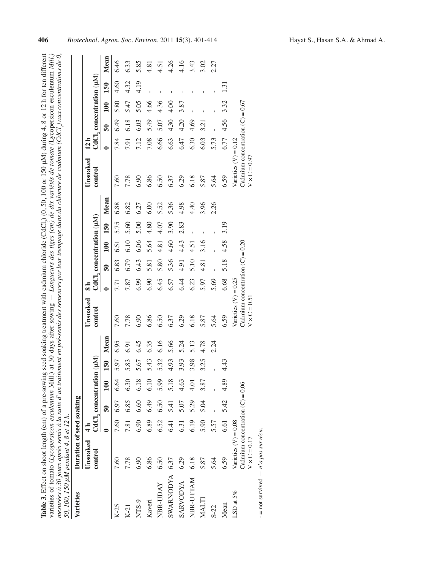|                                         | Table 3. Effect on shoot length (cm) of a pre-sowing seed soaking treatment with cadmium chloride (CdCl.) (0, 50, 100 or 150 µM) during 4, 8 or 12 h for ten different           |
|-----------------------------------------|----------------------------------------------------------------------------------------------------------------------------------------------------------------------------------|
|                                         |                                                                                                                                                                                  |
|                                         | varieties of tomato (Lycopersicon esculentum Mill.) at 30 days after sowing $-L$ ongueurs des tiges (cm) de dix variétés de tomate (Lycopersicon esculentum Mill.)               |
|                                         |                                                                                                                                                                                  |
|                                         | nesurées à 30 jours après semis à la suite d'un traitement en pré-semis des semences par leur trempage dans du chlorure de cadmium (CdCl <sub>2</sub> ) aux concentrations de 0, |
|                                         |                                                                                                                                                                                  |
|                                         | 50, 100, 150 µM pendant 4, 8 et 12 h.                                                                                                                                            |
|                                         |                                                                                                                                                                                  |
| $V_{\alpha}$ $\ldots$ $\ldots$ $\ldots$ | Duration of cool cooling                                                                                                                                                         |

| Varieties        | Duration of seed soaking                                                            |               |                 |                          |      |      |                                                                                     |           |                 |      |                          |      |                                                                                     |      |      |      |                          |      |
|------------------|-------------------------------------------------------------------------------------|---------------|-----------------|--------------------------|------|------|-------------------------------------------------------------------------------------|-----------|-----------------|------|--------------------------|------|-------------------------------------------------------------------------------------|------|------|------|--------------------------|------|
|                  | Unsoaked                                                                            | $\frac{1}{4}$ |                 |                          |      |      | Unsoaked                                                                            |           |                 |      |                          |      | Unsoaked                                                                            | 12 h |      |      |                          |      |
|                  | control                                                                             |               |                 | CdCl, concentration (µM) |      |      | control                                                                             |           |                 |      | CdCl, concentration (µM) |      | control                                                                             |      |      |      | CdCl, concentration (µM) |      |
|                  |                                                                                     | $\bullet$     | $\overline{50}$ | 100                      | 150  | Mean |                                                                                     | $\bullet$ | $\overline{50}$ | 100  | 150                      | Mean |                                                                                     |      | ត្ថិ | 100  | 150                      | Mean |
| $K-25$           | 7.60                                                                                | 7.60          | 6.97            | 6.64                     | 5.97 | 6.95 | 7.60                                                                                | 7.71      | 6.83            | 6.51 | 5.75                     | 6.88 | 7.60                                                                                | 7.84 | 6.49 | 5.80 | 4.60                     | 6.46 |
| $K-21$           | 7.78                                                                                | 7.81          | 6.85            | 6.30                     | 5.83 | 6.91 | 7.78                                                                                | 7.87      | 6.79            | 6.10 | 5.60                     | 6.82 | 7.78                                                                                | 7.91 | 6.18 | 5.47 | 4.32                     | 6.33 |
| NTS-9            | 6.90                                                                                | 6.90          | 6.60            | 6.18                     | 5.67 | 6.45 | 6.90                                                                                | 6.99      | 6.43            | 6.06 | 5.00                     | 6.27 | 6.90                                                                                | 7.12 | 6.03 | 5.05 | 4.19                     | 5.85 |
| Kaveri           | 6.86                                                                                | 6.89          | 6.49            | 6.10                     | 5.43 | 6.35 | 6.86                                                                                | 6.90      | 5.81            | 5.64 | 4.80                     | 6.00 | 6.86                                                                                | 7.08 | 5.49 | 4.66 |                          | 4.81 |
| NBR-UDAY         | 6.50                                                                                | 6.52          | 6.50            | 5.99                     | 5.32 | 6.16 | 6.50                                                                                | 6.45      | 5.80            | 4.81 | 4.07                     | 5.52 | 6.50                                                                                | 6.66 | 5.07 | 4.36 | Ï                        | 4.51 |
| <b>SWARNODYA</b> | 6.37                                                                                | 6.41          | 5.41            | 5.18                     | 4.93 | 5.66 | 6.37                                                                                | 6.57      | 5.36            | 4.60 | 3.90                     | 5.36 | 6.37                                                                                | 6.63 | 4.30 | 4.00 |                          | 4.26 |
| <b>SARVODYA</b>  | 6.29                                                                                | 6.31          | 5.07            | 4.63                     | 3.93 | 5.24 | 6.29                                                                                | 6.44      | 4.91            | 4.43 | 2.83                     | 4.98 | 6.29                                                                                | 6.47 | 4.20 | 3.87 |                          | 4.16 |
| NBR-UTTAM        | 6.18                                                                                | 6.19          | 5.29            | 4.01                     | 3.98 | 5.13 | 6.18                                                                                | 6.23      | 5.10            | 4.51 |                          | 4.40 | 6.18                                                                                | 6.30 | 4.69 |      |                          | 3.43 |
| MALTI            | 5.87                                                                                | 5.90          | 5.04            | 3.87                     | 3.25 | 4.78 | 5.87                                                                                | 5.97      | 4.81            | 3.16 |                          | 3.96 | 5.87                                                                                | 6.03 | 3.21 | f,   |                          | 3.02 |
| $S-22$           | 5.64                                                                                | 5.57          |                 |                          |      | 2.24 | 5.64                                                                                | 5.69      |                 |      |                          | 2.26 | 5.64                                                                                | 5.73 |      |      |                          | 2.27 |
| Mean             | 6.59                                                                                | 6.61          | 5.42            | 4.89                     | 4.43 |      | 6.59                                                                                | 6.68      | 5.18            | 4.58 | 3.19                     |      | 6.59                                                                                | 6.77 | 4.56 | 3.32 | 1.3                      |      |
| LSD at $5\%$     | Cadmium concentration $(C) = 0.06$<br>Varieties $(V) = 0.08$<br>$V \times C = 0.17$ |               |                 |                          |      |      | Cadmium concentration $(C) = 0.20$<br>Varieties $(V) = 0.25$<br>$V \times C = 0.51$ |           |                 |      |                          |      | Cadmium concentration $(C) = 0.67$<br>Varieties $(V) = 0.12$<br>$V \times C = 0.97$ |      |      |      |                          |      |

 $-$  = not survived  $- n' a$  pas survécu. = not survived *n'a pas survécu*.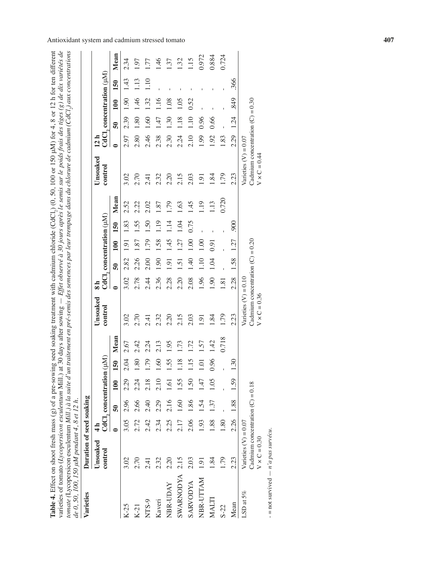| seed soaking treatment with cadmium chloride (CdCl.) $(0, 50, 100 \text{ or } 150 \text{ \mu M})$ for 4, 8 or 12 h for ten different | $80$ days after sowing $-$ Effet observé à 30 jours après le semis sur le poids frais des tiges (g) de dix variétés de | caitement en pré-semis des semences par leur trempage dans du chlorure de cadmium (CdCl <sub>2</sub> ) aux concentrations |                                             |
|--------------------------------------------------------------------------------------------------------------------------------------|------------------------------------------------------------------------------------------------------------------------|---------------------------------------------------------------------------------------------------------------------------|---------------------------------------------|
|                                                                                                                                      |                                                                                                                        |                                                                                                                           |                                             |
|                                                                                                                                      |                                                                                                                        |                                                                                                                           |                                             |
|                                                                                                                                      |                                                                                                                        |                                                                                                                           |                                             |
|                                                                                                                                      |                                                                                                                        |                                                                                                                           |                                             |
|                                                                                                                                      |                                                                                                                        |                                                                                                                           |                                             |
|                                                                                                                                      |                                                                                                                        |                                                                                                                           |                                             |
|                                                                                                                                      |                                                                                                                        |                                                                                                                           |                                             |
|                                                                                                                                      |                                                                                                                        |                                                                                                                           |                                             |
|                                                                                                                                      |                                                                                                                        |                                                                                                                           |                                             |
|                                                                                                                                      |                                                                                                                        |                                                                                                                           |                                             |
|                                                                                                                                      |                                                                                                                        |                                                                                                                           |                                             |
| <b>Table 4.</b> Effect on shoot fresh mass $(g)$ of a pre-sowing $\cdot$                                                             | rieties of tomato (Lycopersicon esculentum Mill.) at $\mathcal{R}$                                                     | <i>mate</i> (Lycopersicon esculentum Mill.) $\partial \log u$ <i>suite</i> $d'$ <i>un trai</i>                            | de 0, 50, 100, 150 µM pendant 4, 8 et 12 h. |
|                                                                                                                                      |                                                                                                                        |                                                                                                                           |                                             |
|                                                                                                                                      |                                                                                                                        |                                                                                                                           |                                             |
|                                                                                                                                      |                                                                                                                        |                                                                                                                           |                                             |

| de 0, 50, 100, 150 µM pendant 4, 8 et 12 h.<br>Varieties | Duration of seed soaking                                                            |               |                   |                          |                    |       |                                                                                     |                 |                                                             |      |      |       |                                                                                     |                 |                 |      |                                                  |           |
|----------------------------------------------------------|-------------------------------------------------------------------------------------|---------------|-------------------|--------------------------|--------------------|-------|-------------------------------------------------------------------------------------|-----------------|-------------------------------------------------------------|------|------|-------|-------------------------------------------------------------------------------------|-----------------|-----------------|------|--------------------------------------------------|-----------|
|                                                          | Unsoaked<br>control                                                                 | $\frac{1}{4}$ |                   | CdCl, concentration (µM) |                    |       | Unsoaked<br>control                                                                 | $\frac{1}{8}$   | $\operatorname{CdCl}_2$ concentration ( $\mu\!\mathrm{M}$ ) |      |      |       | Unsoaked<br>control                                                                 | 12 <sub>h</sub> |                 |      | $\operatorname{CdCl}_2$ concentration ( $\mu$ M) |           |
|                                                          |                                                                                     | $\bullet$     | នី                | 100                      | 150                | Mean  |                                                                                     | $\bullet$       | $\overline{50}$                                             | 100  | 150  | Mean  |                                                                                     | $\bullet$       | $\overline{50}$ | 100  | 150                                              | Mean      |
| $K-25$                                                   | 3.02                                                                                | 3.05          | 2.96              | 2.29                     | 2.04               | 2.67  | 3.02                                                                                | 3.02            | 2.82                                                        | 1.91 | 1.83 | 2.52  | 3.02                                                                                | 2.97            | 2.39            | 1.90 | 1.43                                             | 2.34      |
| $K-21$                                                   | 2.70                                                                                | 2.72          | 2.66              | 2.24                     | 1.80               | 2.42  | 2.70                                                                                | 2.78            | 2.26                                                        | 1.87 | 1.55 | 2.22  | 2.70                                                                                | 2.80            | 1.80            | 1.46 | 1.13                                             | 1.97      |
| NTS-9                                                    | 2.41                                                                                | 2.42          | 2.40              | 2.18                     | (79)               | 2.24  | 2.41                                                                                | 2.44            | 2.00                                                        | 1.79 | 1.50 | 2.02  | 2.41                                                                                | 2.46            | 1.60            | 1.32 | 1.10                                             | 1.77      |
| Kaveri                                                   | 2.32                                                                                | 2.34          | 2.29              | 2.10                     | $-60$              | 2.13  | 2.32                                                                                | 2.36            | 1.90                                                        | 1.58 | 1.19 | 1.87  | 2.32                                                                                | 2.38            | 1.47            | 1.16 |                                                  | $\dot{ }$ |
| NBR-UDAY                                                 | 2.20                                                                                | 2.25          | 2.16              | 1.61                     | 1.55               | 1.95  | 2.20                                                                                | 2.28            | 1.91                                                        | 1.45 | 1.14 | 1.79  | 2.20                                                                                | 2.30            | 1.30            | 1.08 |                                                  | 1.37      |
| <b>SWARNODYA</b>                                         | 2.15                                                                                | 2.17          | $\overline{1.60}$ | 1.55                     | ∞<br>Ξ             | 1.73  | 2.15                                                                                | 2.20            | 1.51                                                        | 1.27 | 1.04 | 1.63  | 2.15                                                                                | 2.24            | 1.18            | 1.05 |                                                  | 1.32      |
| <b>SARVODYA</b>                                          | 2.03                                                                                | 2.06          | .86               | 1.50                     | n<br>Ë             | 1.72  | 2.03                                                                                | 2.08            | 40                                                          | 00.1 | 0.75 | 145   | 2.03                                                                                | 2.10            | 1.10            | 0.52 |                                                  | 1.15      |
| NBR-UTTAM                                                | 1.91                                                                                | 1.93          | $\dot{5}$         | 1.47                     | $\Xi$              | 1.57  | 1.91                                                                                | 1.96            | 1.10                                                        | 1.00 |      | 19    | 1.91                                                                                | 1.99            | 0.96            |      |                                                  | 0.972     |
| MALTI                                                    | 1.84                                                                                | 1.88          | $\ddot{3}$        | 1.05                     | 0.96               | 1.42  | 1.84                                                                                | 1.90            | 1.04                                                        | 0.91 |      | 1.13  | 1.84                                                                                | 1.92            | 0.66            |      |                                                  | 0.884     |
| $S-22$                                                   | 1.79                                                                                | 1.80          |                   |                          |                    | 0.718 | 1.79                                                                                | $\overline{81}$ |                                                             |      |      | 0.720 | 1.79                                                                                | 1.83            |                 |      |                                                  | 0.724     |
| Mean                                                     | 2.23                                                                                | 2.26          | 1.88              | 1.59                     | ○<br>$\frac{3}{2}$ |       | 2.23                                                                                | 2.28            | 1.58                                                        | 1.27 | 900  |       | 2.23                                                                                | 2.29            | 1.24            | 849  | 366                                              |           |
| LSD at 5%                                                | Cadmium concentration $(C) = 0.18$<br>Varieties $(V) = 0.07$<br>$V \times C = 0.30$ |               |                   |                          |                    |       | Cadmium concentration $(C) = 0.20$<br>Varieties $(V) = 0.10$<br>$V \times C = 0.36$ |                 |                                                             |      |      |       | Cadmium concentration $(C) = 0.30$<br>Varieties $(V) = 0.07$<br>$V \times C = 0.44$ |                 |                 |      |                                                  |           |
| $-$ not euroised $ n^2 a$ noe euroop                     |                                                                                     |               |                   |                          |                    |       |                                                                                     |                 |                                                             |      |      |       |                                                                                     |                 |                 |      |                                                  |           |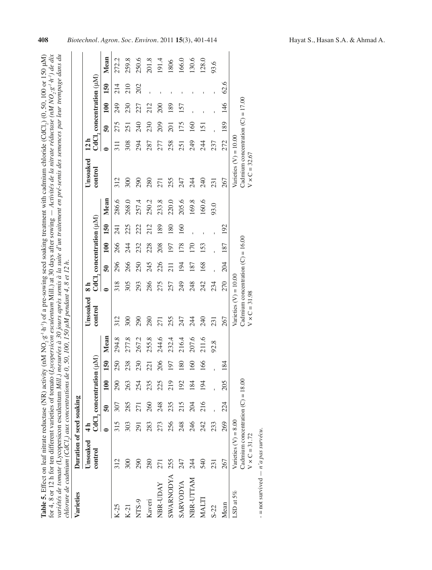| for 4, 8 or 12 h for ten different varieties of tomato (Lycopersicon esculentum Mill.) at 30 days after sowing $-$ Activités de la nitrate réductase (nM NO <sub>2</sub> ,g <sup>1</sup> /h <sup>2</sup> ) de dix<br>lable 5. Effect on leaf nitrate reductase (NR) activity (nM NO, g <sup>-1</sup> h <sup>-1</sup> ) of a pre-sowing seed soaking treatment with cadmium chloride (CdCl,) (0, 50, 100 or 150 µM) | variétés de tomate (Lycopersicon esculentum Mill.) mesurées à 30 jours après semis à la suite d'un traitement en pré-semis des semences par leur trempage dans du |  |
|--------------------------------------------------------------------------------------------------------------------------------------------------------------------------------------------------------------------------------------------------------------------------------------------------------------------------------------------------------------------------------------------------------------------|-------------------------------------------------------------------------------------------------------------------------------------------------------------------|--|
|                                                                                                                                                                                                                                                                                                                                                                                                                    |                                                                                                                                                                   |  |
|                                                                                                                                                                                                                                                                                                                                                                                                                    |                                                                                                                                                                   |  |
|                                                                                                                                                                                                                                                                                                                                                                                                                    |                                                                                                                                                                   |  |
|                                                                                                                                                                                                                                                                                                                                                                                                                    |                                                                                                                                                                   |  |
|                                                                                                                                                                                                                                                                                                                                                                                                                    |                                                                                                                                                                   |  |
|                                                                                                                                                                                                                                                                                                                                                                                                                    |                                                                                                                                                                   |  |
|                                                                                                                                                                                                                                                                                                                                                                                                                    | chlorure de cadmium (CdCl.) aux concentrations de 0, 50, 100, 150 $\mu$ M pendant 4, 8 et 12 h.                                                                   |  |
|                                                                                                                                                                                                                                                                                                                                                                                                                    |                                                                                                                                                                   |  |
|                                                                                                                                                                                                                                                                                                                                                                                                                    |                                                                                                                                                                   |  |
|                                                                                                                                                                                                                                                                                                                                                                                                                    |                                                                                                                                                                   |  |
|                                                                                                                                                                                                                                                                                                                                                                                                                    |                                                                                                                                                                   |  |
|                                                                                                                                                                                                                                                                                                                                                                                                                    |                                                                                                                                                                   |  |
|                                                                                                                                                                                                                                                                                                                                                                                                                    |                                                                                                                                                                   |  |

| <b>Varieties</b> | Duration of seed soaking                                                              |               |                 |                          |     |       |                                                                                        |     |     |     |                          |       |                                                                                        |      |            |                  |                          |       |
|------------------|---------------------------------------------------------------------------------------|---------------|-----------------|--------------------------|-----|-------|----------------------------------------------------------------------------------------|-----|-----|-----|--------------------------|-------|----------------------------------------------------------------------------------------|------|------------|------------------|--------------------------|-------|
|                  | Unsoaked                                                                              | $\frac{4}{1}$ |                 |                          |     |       | Unsoaked                                                                               |     |     |     |                          |       | Unsoaked                                                                               | 12 h |            |                  |                          |       |
|                  | control                                                                               |               |                 | CdCl, concentration (µM) |     |       | control                                                                                |     |     |     | CdCl, concentration (uM) |       | control                                                                                |      |            |                  | CdCl, concentration (µM) |       |
|                  |                                                                                       |               | $\overline{50}$ | 100                      | 150 | Mean  |                                                                                        |     | ត្ថ | 100 | 150                      | Mean  |                                                                                        |      | ລິ         | 100              | 150                      | Mean  |
| $K-25$           | 312                                                                                   | 315           | 307             | $\overline{50}$          | 250 | 294.8 | 312                                                                                    | 318 | 296 | 266 | 241                      | 286.6 | 312                                                                                    |      | 275        | 249              | 214                      | 272.2 |
| $K-21$           | 300                                                                                   | 303           | 285             | 263                      | 238 | 277.8 | 300                                                                                    | 305 | 266 | 244 | 225                      | 268.0 | 300                                                                                    | 308  | 251        | 230              | 210                      | 259.8 |
| NTS-9            | 290                                                                                   | 291           | 271             | 254                      | 230 | 267.2 | 290                                                                                    | 293 | 250 | 232 | 222                      | 257.4 | 290                                                                                    | 294  | 240        | 227              | 202                      | 250.6 |
| Kaveri           | 280                                                                                   | 283           | 260             | 235                      | 221 | 255.8 | 280                                                                                    | 286 | 245 | 228 | 212                      | 250.2 | 280                                                                                    | 287  | 230        | 212              |                          | 201.8 |
| <b>NBR-UDAY</b>  | 271                                                                                   | 273           | 248             | 225                      | 206 | 244.6 | 271                                                                                    | 275 | 226 | 208 | 189                      | 233.8 | 271                                                                                    | 277  | 209        | $\overline{200}$ |                          | 191.4 |
| <b>SWARNODYA</b> | 255                                                                                   | 256           | 235             | 219                      | 197 | 232.4 | 255                                                                                    | 257 | 211 | 197 | 180                      | 220.0 | 255                                                                                    | 258  | 201        | 189              |                          | 1806  |
| <b>SARVODYA</b>  | 247                                                                                   | 248           | 215             | 192                      | 180 | 216.4 | 247                                                                                    | 249 | 194 | 178 | 160                      | 205.6 | 247                                                                                    | 251  | 175        | 157              |                          | 166.0 |
| NBR-UTTAM        | 244                                                                                   | 246           | 204             | 184                      | 160 | 207.6 | 244                                                                                    | 248 | 187 | 170 |                          | 169.8 | 244                                                                                    | 249  | <u>160</u> |                  |                          | 130.6 |
| MALTI            | 540                                                                                   | 242           | 216             | 194                      | 166 | 211.6 | 240                                                                                    | 242 | 168 | 153 |                          | 160.6 | 240                                                                                    | 24   | 151        |                  |                          | 128.0 |
| $S-22$           | 231                                                                                   | 233           |                 |                          |     | 92.8  | 231                                                                                    | 234 |     |     |                          | 93.0  | 231                                                                                    | 237  |            |                  |                          | 93.6  |
| Mean             | 267                                                                                   | 269           | 224             | 205                      | 184 |       | 267                                                                                    | 270 | 204 | 187 | 192                      |       | 267                                                                                    | 272  | 189        | 146              | 62.6                     |       |
| LSD at $5\%$     | Cadmium concentration $(C) = 18.00$<br>Varieties $(V) = 8.00$<br>$V \times C = 31.72$ |               |                 |                          |     |       | Cadmium concentration $(C) = 16.00$<br>Varieties $(V) = 10.00$<br>$V \times C = 31.98$ |     |     |     |                          |       | Cadmium concentration $(C) = 17.00$<br>Varieties $(V) = 10.00$<br>$V \times C = 32.67$ |      |            |                  |                          |       |

 $-$  = not survived  $- n'a$  pas survécu. = not survived *n'a pas survécu*.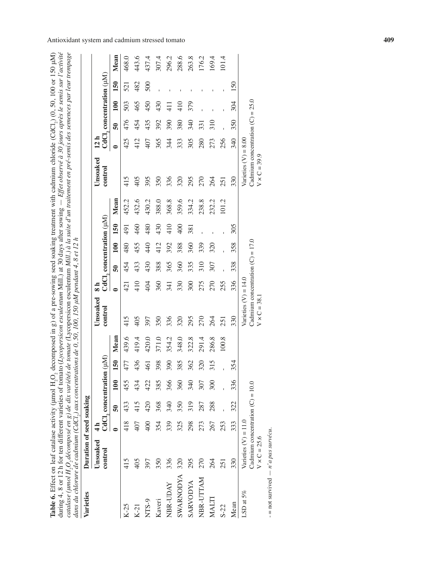| catalase (umol H,O, décomposé en g) de dix variétés de tomate (Lycopersicon esculentum Mill.) à la suite d'un traitement en pré-semis des semences par leur trempage<br>Table 6. Effect on leaf catalase activity (µmol H,O, decomposed in g) of a pre-sowing seed soaking treatment with cadmium chloride (CdCl.), (0, 50, 100 or 150 µM)<br>dans du chlorure de cadmium (CdCl,) aux concentrations de 0, 50, 100, 150 µM pendant 4, 8 et 12 h<br>during 4, 8 or 12 h for ten different varieties of tomato (<br>Varieties | Duration of seed soaking                                                            |                                 |                          |     |            |       |                                                                                     |           |                          |     |               |       | Lycopersicon esculentum Mill.) at 30 days after sowing $- E$ ffet observé à 30 jours après le semis sur l'activité |           |     |                 |                                  |       |
|-----------------------------------------------------------------------------------------------------------------------------------------------------------------------------------------------------------------------------------------------------------------------------------------------------------------------------------------------------------------------------------------------------------------------------------------------------------------------------------------------------------------------------|-------------------------------------------------------------------------------------|---------------------------------|--------------------------|-----|------------|-------|-------------------------------------------------------------------------------------|-----------|--------------------------|-----|---------------|-------|--------------------------------------------------------------------------------------------------------------------|-----------|-----|-----------------|----------------------------------|-------|
|                                                                                                                                                                                                                                                                                                                                                                                                                                                                                                                             |                                                                                     |                                 |                          |     |            |       |                                                                                     |           |                          |     |               |       |                                                                                                                    |           |     |                 |                                  |       |
|                                                                                                                                                                                                                                                                                                                                                                                                                                                                                                                             | Unsoaked                                                                            | $\frac{\mathbf{d}}{\mathbf{d}}$ |                          |     |            |       | Unsoaked                                                                            |           |                          |     |               |       | Unsoaked                                                                                                           | 12 h      |     |                 |                                  |       |
|                                                                                                                                                                                                                                                                                                                                                                                                                                                                                                                             | control                                                                             |                                 | CdCl, concentration (µM) |     |            |       | control                                                                             |           | CdCl, concentration (µM) |     |               |       | control                                                                                                            |           |     |                 | $CdCl$ , concentration $(\mu M)$ |       |
|                                                                                                                                                                                                                                                                                                                                                                                                                                                                                                                             |                                                                                     | $\bullet$                       | ິຈິ                      | 100 | <u>150</u> | Mean  |                                                                                     | $\bullet$ | $\overline{5}$           | 100 | 150           | Mean  |                                                                                                                    | $\bullet$ | នី  | 100             | 150                              | Mean  |
| $K-25$                                                                                                                                                                                                                                                                                                                                                                                                                                                                                                                      | 415                                                                                 | 418                             | 433                      | 455 | 477        | 439.6 | 415                                                                                 | 421       | 454                      | 480 | 491           | 452.2 | 415                                                                                                                | 425       | 476 | 503             | 521                              | 468.0 |
| $K-21$                                                                                                                                                                                                                                                                                                                                                                                                                                                                                                                      | 405                                                                                 | 407                             | 415                      | 434 | 436        | 419.4 | 405                                                                                 | 410       | 433                      | 455 | 460           | 432.6 | 405                                                                                                                | 412       | 454 | 465             | 482                              | 443.6 |
| NTS-9                                                                                                                                                                                                                                                                                                                                                                                                                                                                                                                       | 397                                                                                 | $rac{400}{1}$                   | 420                      | 422 | 461        | 420.0 | 397                                                                                 | 404       | 430                      | 440 | 480           | 430.2 | 395                                                                                                                | 407       | 435 | 450             | 500                              | 437.4 |
| Kaveri                                                                                                                                                                                                                                                                                                                                                                                                                                                                                                                      | 350                                                                                 | 354                             | 368                      | 385 | 398        | 371.0 | 350                                                                                 | 360       | 388                      | 412 | 430           | 388.0 | 350                                                                                                                | 365       | 392 | 430             |                                  | 307.4 |
| NBR-UDAY                                                                                                                                                                                                                                                                                                                                                                                                                                                                                                                    | 336                                                                                 | 339                             | 340                      | 366 | 390        | 354.2 | 336                                                                                 | 341       | 365                      | 392 | 410           | 368.8 | 336                                                                                                                | 344       | 390 | $\frac{11}{11}$ |                                  | 296.2 |
| <b>SWARNODYA</b>                                                                                                                                                                                                                                                                                                                                                                                                                                                                                                            | 320                                                                                 | 325                             | 350                      | 360 | 385        | 348.0 | 320                                                                                 | 330       | 360                      | 388 | $rac{400}{2}$ | 359.6 | 320                                                                                                                | 333       | 380 | 410             |                                  | 288.6 |
| <b>SARVODYA</b>                                                                                                                                                                                                                                                                                                                                                                                                                                                                                                             | 295                                                                                 | 298                             | 319                      | 340 | 362        | 322.8 | 295                                                                                 | 300       | 335                      | 360 | 381           | 334.2 | 295                                                                                                                | 305       | 340 | 379             |                                  | 263.8 |
| NBR-UTTAM                                                                                                                                                                                                                                                                                                                                                                                                                                                                                                                   | 270                                                                                 | 273                             | 287                      | 307 | 320        | 291.4 | 270                                                                                 | 275       | 310                      | 339 |               | 238.8 | 270                                                                                                                | 280       | 331 |                 |                                  | 176.2 |
| MALTI                                                                                                                                                                                                                                                                                                                                                                                                                                                                                                                       | 264                                                                                 | 267                             | 288                      | 300 | 315        | 286.8 | 264                                                                                 | 270       | 307                      | 320 |               | 232.2 | 264                                                                                                                | 273       | 310 |                 |                                  | 169.4 |
| $S-22$                                                                                                                                                                                                                                                                                                                                                                                                                                                                                                                      | 251                                                                                 | 253                             |                          |     |            | 100.8 | 251                                                                                 | 255       |                          |     |               | 101.2 | 251                                                                                                                | 256       |     |                 |                                  | 101.4 |
| Mean                                                                                                                                                                                                                                                                                                                                                                                                                                                                                                                        | 330                                                                                 | 333                             | 322                      | 336 | 354        |       | 330                                                                                 | 336       | 338                      | 358 | 305           |       | 330                                                                                                                | 340       | 350 | 304             | 150                              |       |
| LSD at 5%                                                                                                                                                                                                                                                                                                                                                                                                                                                                                                                   | Cadmium concentration $(C) = 10.0$<br>Varieties $(V) = 11.0$<br>$V \times C = 25.6$ |                                 |                          |     |            |       | Cadmium concentration $(C) = 17.0$<br>Varieties $(V) = 14.0$<br>$V \times C = 38.1$ |           |                          |     |               |       | Cadmium concentration $(C) = 25.0$<br>Varieties $(V) = 8.00$<br>$V \times C = 39.9$                                |           |     |                 |                                  |       |
| $-$ = not survived $- n^{\prime} a$ pas survécu.                                                                                                                                                                                                                                                                                                                                                                                                                                                                            |                                                                                     |                                 |                          |     |            |       |                                                                                     |           |                          |     |               |       |                                                                                                                    |           |     |                 |                                  |       |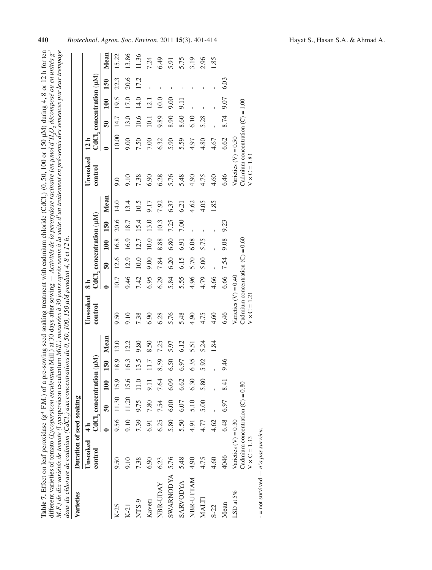| Table 7. Effect on leaf peroxidase (g' F.M.) of a pre-sowing seed soaking treatment with cadmium chloride (CdCl.) (0, 50, 100 or 150 µM) during 4, 8 or 12 h for ten<br>fill.) at 30 days after sowing $-$ Activités de la peroxydase racinaire (en µmol d'H <sub>2</sub> O <sub>3</sub> décomposé ou en unités g <sup>-1</sup><br>different varieties of tomato (Lycopersicon esculentum M |
|---------------------------------------------------------------------------------------------------------------------------------------------------------------------------------------------------------------------------------------------------------------------------------------------------------------------------------------------------------------------------------------------|
| M.F.) de dix variétés de tomate (Lycopersicon esculentum Mill.) mesurées à 30 jours après semis à la suite d'un traitement en pré-semis des semences par leur trempage<br>s de 0, 50, 100, 150 µM pendant 4, 8 et 12 h.<br>lans du chlorure de cadmium (CdCl,) aux concentrations                                                                                                           |

| Varieties        | Duration of seed soaking                                                            |               |                                                      |      |              |      |                                                                                     |           |                          |      |      |      |                                                                                     |                 |                          |                 |      |       |
|------------------|-------------------------------------------------------------------------------------|---------------|------------------------------------------------------|------|--------------|------|-------------------------------------------------------------------------------------|-----------|--------------------------|------|------|------|-------------------------------------------------------------------------------------|-----------------|--------------------------|-----------------|------|-------|
|                  | Unsoaked                                                                            | $\frac{1}{4}$ |                                                      |      |              |      | Unsoaked                                                                            |           |                          |      |      |      | Unsoaked                                                                            | 12 h            |                          |                 |      |       |
|                  | control                                                                             |               | $\operatorname{CdCl}_2$ concentration ( $\mu\rm M$ ) |      |              |      | control                                                                             |           | CdCl, concentration (µM) |      |      |      | control                                                                             |                 | CdCl, concentration (µM) |                 |      |       |
|                  |                                                                                     |               | ត្ថ                                                  | 100  | 150          | Mean |                                                                                     | $\bullet$ | $\overline{50}$          | 100  | 150  | Mean |                                                                                     | $\bullet$       | $\overline{50}$          | 100             | 150  | Mean  |
| $K-25$           | 9.50                                                                                | 9.56          | 11.30 15.9                                           |      | 18.9         | 13.0 | 9.50                                                                                | 10.7      | 12.6                     | 16.8 | 20.6 | 14.0 | 0.6                                                                                 | 10.00           | 14.7                     | 19.5            | 22.3 | 15.22 |
| $K-21$           | 9.10                                                                                | 9.10          | 11.20 15.6                                           |      | 16.3         | 12.2 | 9.10                                                                                | 9.46      | 12.9                     | 16.9 | 18.7 | 13.4 | 9.10                                                                                | 00 <sub>6</sub> | 13.0                     | 17.0            | 20.6 | 13.86 |
| NTS-9            | 7.38                                                                                | 7.39          | 9.75                                                 | 11.0 | 13.5         | 9.80 | 7.38                                                                                | 7.42      | 10.0                     | 12.7 | 15.4 | 10.5 | 7.38                                                                                | 7.50            | 10.6                     | 14.0            | 17.2 | 11.36 |
| Kaveri           | 6.90                                                                                | 6.91          | 7.80                                                 | 9.11 | 11.7         | 8.50 | 6.90                                                                                | 6.95      | 00 <sub>6</sub>          | 10.0 | 13.0 | 9.17 | 6.90                                                                                | 7.00            | 10.1                     | 12.1            |      | 7.24  |
| NBR-UDAY         | 6.23                                                                                | 6.25          | 7.54                                                 | 7.64 | 8.59         | 7.25 | 6.28                                                                                | 6.29      | 7.84                     | 8.88 | 10.3 | 7.92 | 6.28                                                                                | 6.32            | 9.89                     | 10.0            |      | 6.49  |
| <b>SWARNODYA</b> | 5.76                                                                                | 5.80          | 6.00                                                 | 6.09 | 6.50         | 5.97 | 5.76                                                                                | 5.84      | 6.20                     | 6.80 | 7.25 | 6.37 | 5.76                                                                                | 5.90            | 8.90                     | 9.00            |      | 5.91  |
| <b>SARVODYA</b>  | 5.48                                                                                | 5.50          | 6.07                                                 | 6.62 | 6.97         | 6.12 | 5.48                                                                                | 5.55      | 6.15                     | 6.91 | 7.00 | 6.21 | 5.48                                                                                | 5.59            | 8.60                     | <b>II</b><br>9. |      | 5.75  |
| NBR-UTTAM        | 4.90                                                                                | 4.91          | 5.10                                                 | 6.30 | 6.35         | 5.51 | 4.90                                                                                | 4.96      | 5.70                     | 6.08 |      | 4.62 | 4.90                                                                                | 4.97            | 6.10                     |                 |      | 3.19  |
| MALTI            | 4.75                                                                                | 4.77          | 5.00                                                 | 5.80 | 5.92         | 5.24 | 4.75                                                                                | 4.79      | 5.00                     | 5.75 |      | 4.05 | 4.75                                                                                | 4.80            | 5.28                     |                 |      | 2.96  |
| $S-22$           | 4.60                                                                                | 4.62          |                                                      |      | $\mathbf{I}$ | 1.84 | 4.60                                                                                | 4.66      |                          |      |      | 1.85 | 4.60                                                                                | 4.67            |                          |                 |      | 1.85  |
| Mean             | 4046                                                                                | 6.48          | 6.97                                                 | 8.41 | 946          |      | 6.46                                                                                | 6.66      | 7.54                     | 9.08 | 9.23 |      | 6.46                                                                                | 6.62            | 8.74                     | 0.07            | 6.03 |       |
| LSD at $5\%$     | Cadmium concentration $(C) = 0.80$<br>Varieties $(V) = 0.30$<br>$V \times C = 1.33$ |               |                                                      |      |              |      | Cadmium concentration $(C) = 0.60$<br>Varieties $(V) = 0.40$<br>$V \times C = 1.21$ |           |                          |      |      |      | Cadmium concentration $(C) = 1.00$<br>Varieties $(V) = 0.50$<br>$V \times C = 1.83$ |                 |                          |                 |      |       |

 $-$  = not survived  $- n'a$  pas survécu. = not survived *n'a pas survécu*.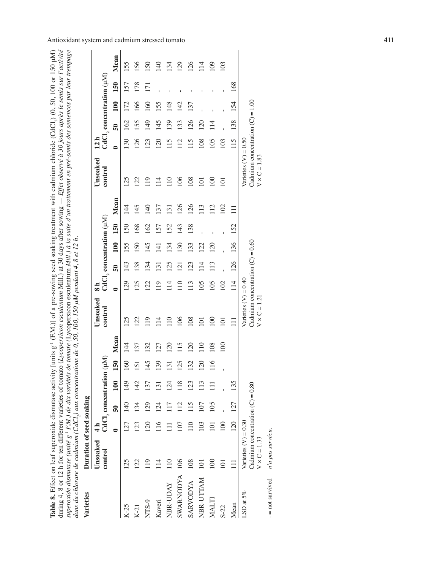| Table 8. Effect on leaf superoxide dismutase activity [units g <sup>-1</sup> (F.M.)] of a pre-sowing seed soaking treatment with cadmium chloride (CdCl <sub>2</sub> ) (0, 50, 100 or 150 µM) | during 4, 8 or 12 h for ten different varieties of tomato (Lycopersicon esculentum Mill.) at 30 days after sowing $-E$ ffet observé à 30 jours après le semis sur l'activité | superoxide dismutase (unité g <sup>-1</sup> F.M.) de dix variétés de tomate (Lycopersicon esculentum Mill.) à la suite d'un traitement en pré-semis des semences par leur trempage |                                                                                                    |
|-----------------------------------------------------------------------------------------------------------------------------------------------------------------------------------------------|------------------------------------------------------------------------------------------------------------------------------------------------------------------------------|------------------------------------------------------------------------------------------------------------------------------------------------------------------------------------|----------------------------------------------------------------------------------------------------|
|                                                                                                                                                                                               |                                                                                                                                                                              |                                                                                                                                                                                    | dans du chlorure de cadmium (CdCl,) aux concentrations de 0, 50, 100, 150 µM pendant 4, 8 et 12 h. |

| dans du chlorure de cadmium (CdCl.) aux concentrations de 0, 50, 100, 150 µM pendant 4, 8 et 12 h.<br>Varieties | Duration of seed soaking                                                            |                 |                 |                          |     |                 |                                                                                     |                |                 |                  |                          |                |                                                                                     |           |     |     |                                    |           |
|-----------------------------------------------------------------------------------------------------------------|-------------------------------------------------------------------------------------|-----------------|-----------------|--------------------------|-----|-----------------|-------------------------------------------------------------------------------------|----------------|-----------------|------------------|--------------------------|----------------|-------------------------------------------------------------------------------------|-----------|-----|-----|------------------------------------|-----------|
|                                                                                                                 | Unsoaked                                                                            | $\frac{1}{4}$   |                 |                          |     |                 | Unsoaked                                                                            | a<br>∞         |                 |                  |                          |                | Unsoaked                                                                            | 12 h      |     |     |                                    |           |
|                                                                                                                 | control                                                                             |                 |                 | CdCl, concentration (µM) |     |                 | control                                                                             |                |                 |                  | CdCl, concentration (µM) |                | control                                                                             |           |     |     | $\rm CdCl, concentration\ (\mu M)$ |           |
|                                                                                                                 |                                                                                     |                 | $\overline{5}$  | 100                      | 150 | Mean            |                                                                                     | $\bullet$      | $\overline{50}$ | 100              | 150                      | Mean           |                                                                                     | $\bullet$ | នី  | 100 | 150                                | Mean      |
| $K-25$                                                                                                          | 125                                                                                 | 127             | 140             | 149                      | 160 | $\overline{4}$  | 125                                                                                 | 129            | 143             | 155              | 150                      | $\overline{4}$ | 125                                                                                 | 130       | 162 | 172 | 157                                | 155       |
| $K-21$                                                                                                          | 122                                                                                 | 123             | 134             | 142                      | 151 | 137             | 122                                                                                 | 125            | 138             | 150              | 168                      | 145            | 122                                                                                 | 126       | 155 | 166 | 178                                | 156       |
| NTS-9                                                                                                           | $\frac{1}{2}$                                                                       | $\overline{20}$ | 129             | 137                      | 145 | 132             | 119                                                                                 | 122            | 134             | 145              | 162                      | 140            | 119                                                                                 | 123       | 149 | 160 | $\overline{17}$                    | <b>SO</b> |
| Kaveri                                                                                                          | 114                                                                                 | 116             | 124             | $\overline{3}$           | 139 | $\overline{27}$ | 114                                                                                 | 119            | $\overline{31}$ | $\overline{141}$ | 157                      | 137            | 114                                                                                 | <b>20</b> | 145 | 155 | $\mathbf{I}$                       | 140       |
| NBR-UDAY                                                                                                        | $\Xi$                                                                               |                 |                 | 124                      | 131 | $\overline{20}$ | 110                                                                                 | 114            | 125             | 134              | 152                      | $\overline{5}$ | 110                                                                                 | 115       | 139 | 148 | $\overline{1}$                     | 134       |
| <b>SWARNODYA</b>                                                                                                | 106                                                                                 | 107             | $\overline{12}$ | 118                      | 125 | 115             | 106                                                                                 | $\frac{10}{1}$ | $\overline{21}$ | 130              | 143                      | 126            | 106                                                                                 | 112       | 133 | 142 |                                    | 129       |
| <b>SARVODYA</b>                                                                                                 | 108                                                                                 |                 |                 | 123                      | 132 | $\overline{20}$ | 108                                                                                 | 113            | $\overline{23}$ | 133              | 138                      | 126            | 108                                                                                 | 115       | 126 | 137 |                                    | 126       |
| NBR-UTTAM                                                                                                       | $\overline{101}$                                                                    | 103             | 107             | 113                      | 120 | 110             | $\Xi$                                                                               | 105            | $\overline{14}$ | 122              |                          | 113            | $\overline{101}$                                                                    | 108       | 120 |     |                                    | 114       |
| <b>MALTI</b>                                                                                                    | 100                                                                                 | $\Xi$           | 105             | Ξ                        | 116 | 108             | $\overline{5}$                                                                      | 105            | 113             | 120              |                          | 112            | $\frac{100}{2}$                                                                     | 105       | 114 |     |                                    | 109       |
| $S - 22$                                                                                                        | 101                                                                                 | 100             |                 |                          |     | 100             | $\Xi$                                                                               | 102            |                 |                  |                          | 102            | $\overline{101}$                                                                    | 103       |     |     |                                    | 103       |
| Mean                                                                                                            |                                                                                     | 120             | 127             | 135                      |     |                 | Ξ                                                                                   | $\frac{1}{4}$  | 126             | 136              | 152                      | $\equiv$       |                                                                                     | 115       | 138 | 154 | 168                                |           |
| LSD at $5\%$                                                                                                    | Cadmium concentration $(C) = 0.80$<br>Varieties $(V) = 0.30$<br>$V \times C = 1.33$ |                 |                 |                          |     |                 | Cadmium concentration $(C) = 0.60$<br>Varieties $(V) = 0.40$<br>$V \times C = 1.21$ |                |                 |                  |                          |                | Cadmium concentration $(C) = 1.00$<br>Varieties $(V) = 0.50$<br>$V \times C = 1.83$ |           |     |     |                                    |           |
| $-$ not curvived $ n^2 a$ nor curvison                                                                          |                                                                                     |                 |                 |                          |     |                 |                                                                                     |                |                 |                  |                          |                |                                                                                     |           |     |     |                                    |           |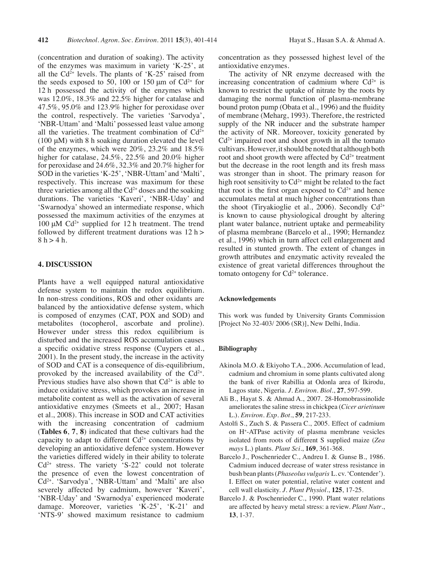(concentration and duration of soaking). The activity of the enzymes was maximum in variety 'K-25', at all the  $Cd^{2+}$  levels. The plants of 'K-25' raised from the seeds exposed to 50, 100 or 150  $\mu$ m of Cd<sup>2+</sup> for 12 h possessed the activity of the enzymes which was 12.0%, 18.3% and 22.5% higher for catalase and 47.5%, 95.0% and 123.9% higher for peroxidase over the control, respectively. The varieties 'Sarvodya', 'NBR-Uttam' and 'Malti' possessed least value among all the varieties. The treatment combination of  $Cd^{2+}$ (100 μM) with 8 h soaking duration elevated the level of the enzymes, which were 20%, 23.2% and 18.5% higher for catalase, 24.5%, 22.5% and 20.0% higher for peroxidase and 24.6%, 32.3% and 20.7% higher for SOD in the varieties 'K-25', 'NBR-Uttam' and 'Malti', respectively. This increase was maximum for these three varieties among all the  $Cd^{2+}$  doses and the soaking durations. The varieties 'Kaveri', 'NBR-Uday' and 'Swarnodya' showed an intermediate response, which possessed the maximum activities of the enzymes at  $100 \mu M$  Cd<sup>2+</sup> supplied for 12 h treatment. The trend followed by different treatment durations was  $12 h$  >  $8 h > 4 h.$ 

## **4. Discussion**

Plants have a well equipped natural antioxidative defense system to maintain the redox equilibrium. In non-stress conditions, ROS and other oxidants are balanced by the antioxidative defense system, which is composed of enzymes (CAT, POX and SOD) and metabolites (tocopherol, ascorbate and proline). However under stress this redox equilibrium is disturbed and the increased ROS accumulation causes a specific oxidative stress response (Cuypers et al., 2001). In the present study, the increase in the activity of SOD and CAT is a consequence of dis-equilibrium, provoked by the increased availability of the  $Cd^{2+}$ . Previous studies have also shown that  $Cd^{2+}$  is able to induce oxidative stress, which provokes an increase in metabolite content as well as the activation of several antioxidative enzymes (Smeets et al., 2007; Hasan et al., 2008). This increase in SOD and CAT activities with the increasing concentration of cadmium (**Tables 6**, **7**, **8**) indicated that these cultivars had the capacity to adapt to different  $Cd^{2+}$  concentrations by developing an antioxidative defence system. However the varieties differed widely in their ability to tolerate  $Cd<sup>2+</sup>$  stress. The variety 'S-22' could not tolerate the presence of even the lowest concentration of Cd2+. 'Sarvodya', 'NBR-Uttam' and 'Malti' are also severely affected by cadmium, however 'Kaveri', 'NBR-Uday' and 'Swarnodya' experienced moderate damage. Moreover, varieties 'K-25', 'K-21' and 'NTS-9' showed maximum resistance to cadmium

concentration as they possessed highest level of the antioxidative enzymes.

The activity of NR enzyme decreased with the increasing concentration of cadmium where  $Cd^{2+}$  is known to restrict the uptake of nitrate by the roots by damaging the normal function of plasma-membrane bound proton pump (Obata et al., 1996) and the fluidity of membrane (Meharg, 1993). Therefore, the restricted supply of the NR inducer and the substrate hamper the activity of NR. Moreover, toxicity generated by  $Cd<sup>2+</sup>$  impaired root and shoot growth in all the tomato cultivars.However,itshould be noted that although both root and shoot growth were affected by  $Cd^{2+}$  treatment but the decrease in the root length and its fresh mass was stronger than in shoot. The primary reason for high root sensitivity to  $Cd^{2+}$  might be related to the fact that root is the first organ exposed to  $Cd^{2+}$  and hence accumulates metal at much higher concentrations than the shoot (Tiryakioglie et al., 2006). Secondly  $Cd^{2+}$ is known to cause physiological drought by altering plant water balance, nutrient uptake and permeability of plasma membrane (Barcelo et al., 1990; Hernandez et al., 1996) which in turn affect cell enlargement and resulted in stunted growth. The extent of changes in growth attributes and enzymatic activity revealed the existence of great varietal differences throughout the tomato ontogeny for  $Cd^{2+}$  tolerance.

#### **Acknowledgements**

This work was funded by University Grants Commission [Project No 32-403/ 2006 (SR)], New Delhi, India.

#### **Bibliography**

- Akinola M.O. & Ekiyoho T.A., 2006. Accumulation of lead, cadmium and chromium in some plants cultivated along the bank of river Rabillia at Odonla area of Ikirodu, Lagos state, Nigeria. *J. Environ. Biol*., **27**, 597-599.
- Ali B., Hayat S. & Ahmad A., 2007. 28-Homobrassinolide ameliorates the saline stress in chickpea (*Cicer arietinum* L.). *Environ. Exp. Bot*., **59**, 217-233.
- Astolfi S., Zuch S. & Passera C., 2005. Effect of cadmium on H+ -ATPase activity of plasma membrane vesicles isolated from roots of different S supplied maize (*Zea mays* L.) plants. *Plant Sci*., **169**, 361-368.
- Barcelo J., Poschenrieder C., Andreu I. & Gunse B., 1986. Cadmium induced decrease of water stress resistance in bush bean plants(*Phaseolus vulgaris* L. cv.'Contender'). I. Effect on water potential, relative water content and cell wall elasticity. *J. Plant Physiol*., **125**, 17-25.
- Barcelo J. & Poschenrieder C., 1990. Plant water relations are affected by heavy metal stress: a review. *Plant Nutr*., **13**, 1-37.